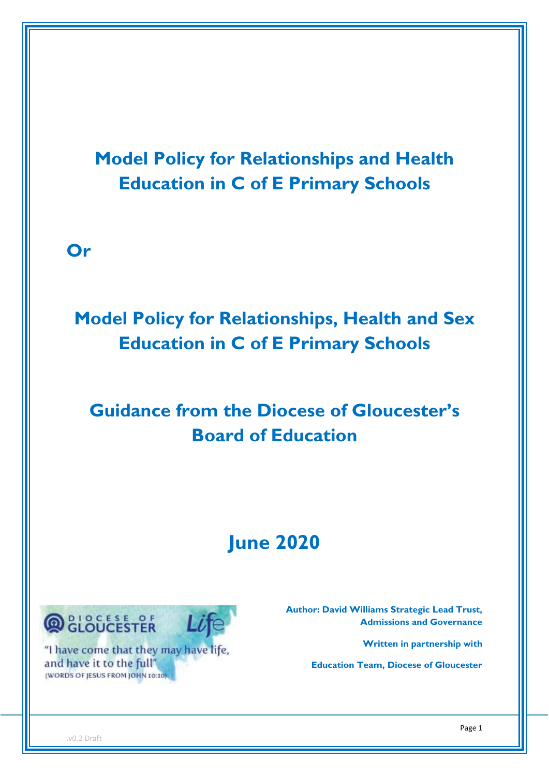**Model Policy for Relationships and Health Education in C of E Primary Schools**

**Or** 

# **Model Policy for Relationships, Health and Sex Education in C of E Primary Schools**

# **Guidance from the Diocese of Gloucester's Board of Education**

# **June 2020**



"I have come that they may have life, and have it to the full" (WORDS OF JESUS FROM JOHN 10:10)

 **Author: David Williams Strategic Lead Trust, Admissions and Governance** 

**Written in partnership with** 

**Education Team, Diocese of Gloucester**

.v0.2 Draft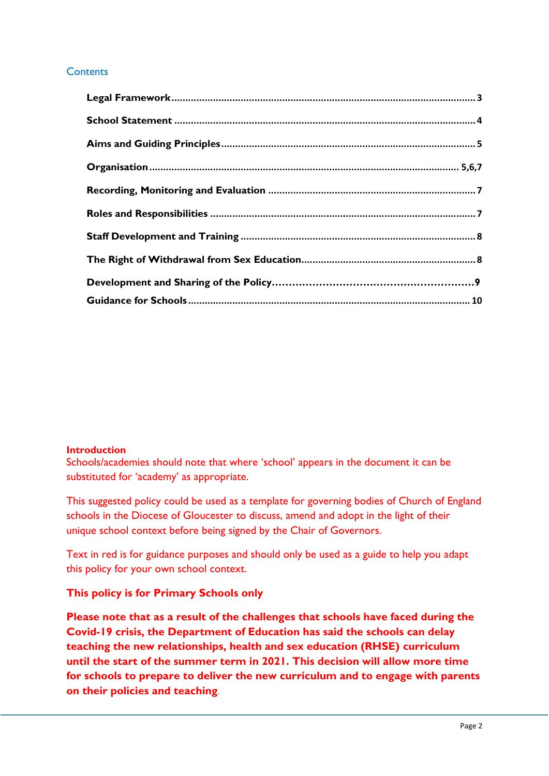# **Contents**

## **Introduction**

Schools/academies should note that where 'school' appears in the document it can be substituted for 'academy' as appropriate.

This suggested policy could be used as a template for governing bodies of Church of England schools in the Diocese of Gloucester to discuss, amend and adopt in the light of their unique school context before being signed by the Chair of Governors.

Text in red is for guidance purposes and should only be used as a guide to help you adapt this policy for your own school context.

# **This policy is for Primary Schools only**

**Please note that as a result of the challenges that schools have faced during the Covid-19 crisis, the Department of Education has said the schools can delay teaching the new relationships, health and sex education (RHSE) curriculum until the start of the summer term in 2021. This decision will allow more time for schools to prepare to deliver the new curriculum and to engage with parents on their policies and teaching**.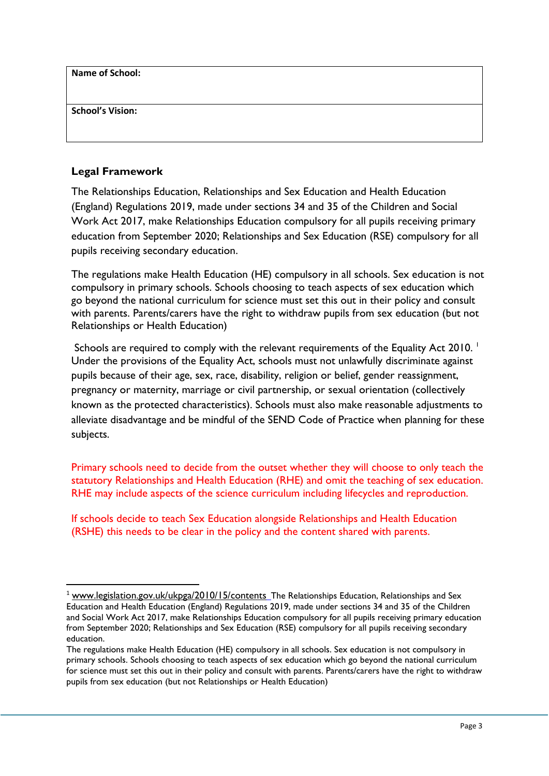**Name of School:**

**School's Vision:**

**.** 

# **Legal Framework**

The Relationships Education, Relationships and Sex Education and Health Education (England) Regulations 2019, made under sections 34 and 35 of the Children and Social Work Act 2017, make Relationships Education compulsory for all pupils receiving primary education from September 2020; Relationships and Sex Education (RSE) compulsory for all pupils receiving secondary education.

The regulations make Health Education (HE) compulsory in all schools. Sex education is not compulsory in primary schools. Schools choosing to teach aspects of sex education which go beyond the national curriculum for science must set this out in their policy and consult with parents. Parents/carers have the right to withdraw pupils from sex education (but not Relationships or Health Education)

Schools are required to comply with the relevant requirements of the Equality Act 2010. Under the provisions of the Equality Act, schools must not unlawfully discriminate against pupils because of their age, sex, race, disability, religion or belief, gender reassignment, pregnancy or maternity, marriage or civil partnership, or sexual orientation (collectively known as the protected characteristics). Schools must also make reasonable adjustments to alleviate disadvantage and be mindful of the SEND Code of Practice when planning for these subjects.

Primary schools need to decide from the outset whether they will choose to only teach the statutory Relationships and Health Education (RHE) and omit the teaching of sex education. RHE may include aspects of the science curriculum including lifecycles and reproduction.

If schools decide to teach Sex Education alongside Relationships and Health Education (RSHE) this needs to be clear in the policy and the content shared with parents.

<sup>&</sup>lt;sup>1</sup> [www.legislation.gov.uk/ukpga/2010/15/contents](http://www.legislation.gov.uk/ukpga/2010/15/contents) The Relationships Education, Relationships and Sex Education and Health Education (England) Regulations 2019, made under sections 34 and 35 of the Children and Social Work Act 2017, make Relationships Education compulsory for all pupils receiving primary education from September 2020; Relationships and Sex Education (RSE) compulsory for all pupils receiving secondary education.

The regulations make Health Education (HE) compulsory in all schools. Sex education is not compulsory in primary schools. Schools choosing to teach aspects of sex education which go beyond the national curriculum for science must set this out in their policy and consult with parents. Parents/carers have the right to withdraw pupils from sex education (but not Relationships or Health Education)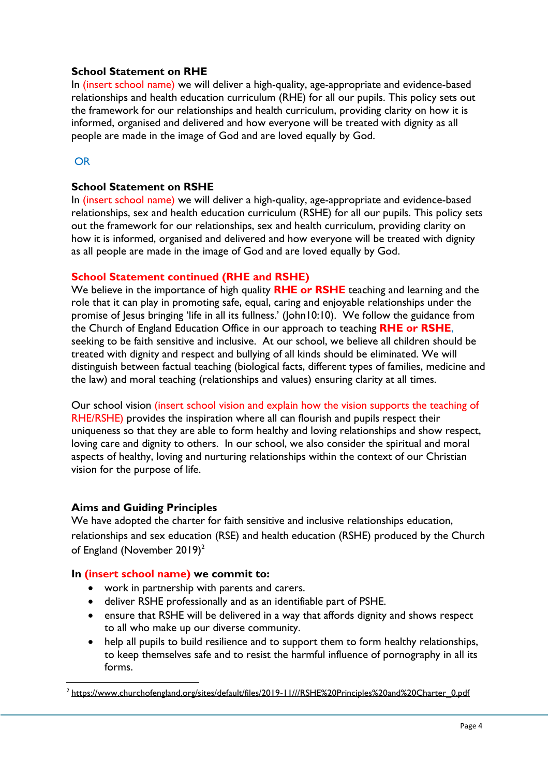## **School Statement on RHE**

In (insert school name) we will deliver a high-quality, age-appropriate and evidence-based relationships and health education curriculum (RHE) for all our pupils. This policy sets out the framework for our relationships and health curriculum, providing clarity on how it is informed, organised and delivered and how everyone will be treated with dignity as all people are made in the image of God and are loved equally by God.

# OR

# **School Statement on RSHE**

In (insert school name) we will deliver a high-quality, age-appropriate and evidence-based relationships, sex and health education curriculum (RSHE) for all our pupils. This policy sets out the framework for our relationships, sex and health curriculum, providing clarity on how it is informed, organised and delivered and how everyone will be treated with dignity as all people are made in the image of God and are loved equally by God.

# **School Statement continued (RHE and RSHE)**

We believe in the importance of high quality **RHE or RSHE** teaching and learning and the role that it can play in promoting safe, equal, caring and enjoyable relationships under the promise of Jesus bringing 'life in all its fullness.' (John10:10). We follow the guidance from the Church of England Education Office in our approach to teaching **RHE or RSHE**, seeking to be faith sensitive and inclusive. At our school, we believe all children should be treated with dignity and respect and bullying of all kinds should be eliminated. We will distinguish between factual teaching (biological facts, different types of families, medicine and the law) and moral teaching (relationships and values) ensuring clarity at all times.

Our school vision (insert school vision and explain how the vision supports the teaching of RHE/RSHE) provides the inspiration where all can flourish and pupils respect their uniqueness so that they are able to form healthy and loving relationships and show respect, loving care and dignity to others. In our school, we also consider the spiritual and moral aspects of healthy, loving and nurturing relationships within the context of our Christian vision for the purpose of life.

# <span id="page-3-0"></span>**Aims and Guiding Principles**

1

We have adopted the charter for faith sensitive and inclusive relationships education, relationships and sex education (RSE) and health education (RSHE) produced by the Church of England (November 2019)<sup>2</sup>

# **In (insert school name) we commit to:**

- work in partnership with parents and carers.
- deliver RSHE professionally and as an identifiable part of PSHE.
- ensure that RSHE will be delivered in a way that affords dignity and shows respect to all who make up our diverse community.
- help all pupils to build resilience and to support them to form healthy relationships, to keep themselves safe and to resist the harmful influence of pornography in all its forms.

<sup>&</sup>lt;sup>2</sup> [https://www.churchofengland.org/sites/default/files/2019-11///RSHE%20Principles%20and%20Charter\\_0.pdf](https://www.churchofengland.org/sites/default/files/2019-11/RSHE%20Principles%20and%20Charter_0.pdf)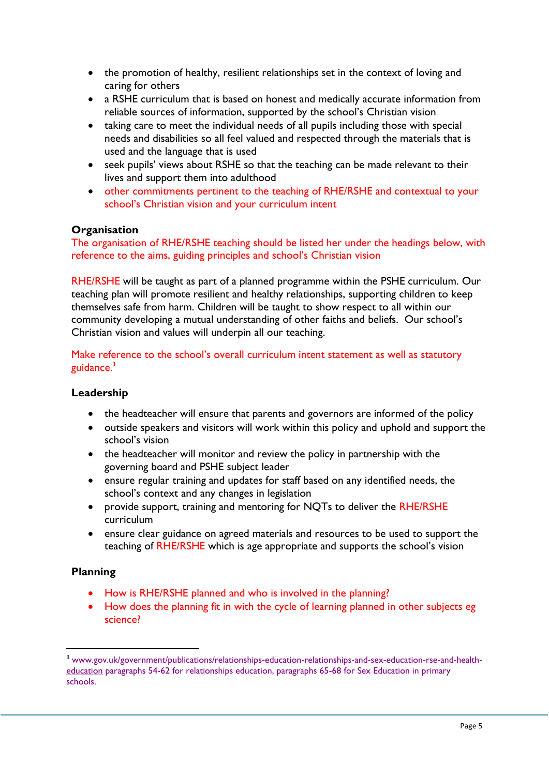- the promotion of healthy, resilient relationships set in the context of loving and caring for others
- a RSHE curriculum that is based on honest and medically accurate information from reliable sources of information, supported by the school's Christian vision
- taking care to meet the individual needs of all pupils including those with special needs and disabilities so all feel valued and respected through the materials that is used and the language that is used
- seek pupils' views about RSHE so that the teaching can be made relevant to their lives and support them into adulthood
- other commitments pertinent to the teaching of RHE/RSHE and contextual to your school's Christian vision and your curriculum intent

# **Organisation**

The organisation of RHE/RSHE teaching should be listed her under the headings below, with reference to the aims, guiding principles and school's Christian vision

RHE/RSHE will be taught as part of a planned programme within the PSHE curriculum. Our teaching plan will promote resilient and healthy relationships, supporting children to keep themselves safe from harm. Children will be taught to show respect to all within our community developing a mutual understanding of other faiths and beliefs. Our school's Christian vision and values will underpin all our teaching.

Make reference to the school's overall curriculum intent statement as well as statutory guidance. $3$ 

## **Leadership**

- the headteacher will ensure that parents and governors are informed of the policy
- outside speakers and visitors will work within this policy and uphold and support the school's vision
- the headteacher will monitor and review the policy in partnership with the governing board and PSHE subject leader
- ensure regular training and updates for staff based on any identified needs, the school's context and any changes in legislation
- provide support, training and mentoring for NQTs to deliver the RHE/RSHE curriculum
- ensure clear guidance on agreed materials and resources to be used to support the teaching of RHE/RSHE which is age appropriate and supports the school's vision

# **Planning**

1

- How is RHE/RSHE planned and who is involved in the planning?
- How does the planning fit in with the cycle of learning planned in other subjects eg science?

<sup>&</sup>lt;sup>3</sup> [www.gov.uk/government/publications/relationships-education-relationships-and-sex-education-rse-and-health](http://www.gov.uk/government/publications/relationships-education-relationships-and-sex-education-rse-and-health-education)[education](http://www.gov.uk/government/publications/relationships-education-relationships-and-sex-education-rse-and-health-education) paragraphs 54-62 for relationships education, paragraphs 65-68 for Sex Education in primary schools.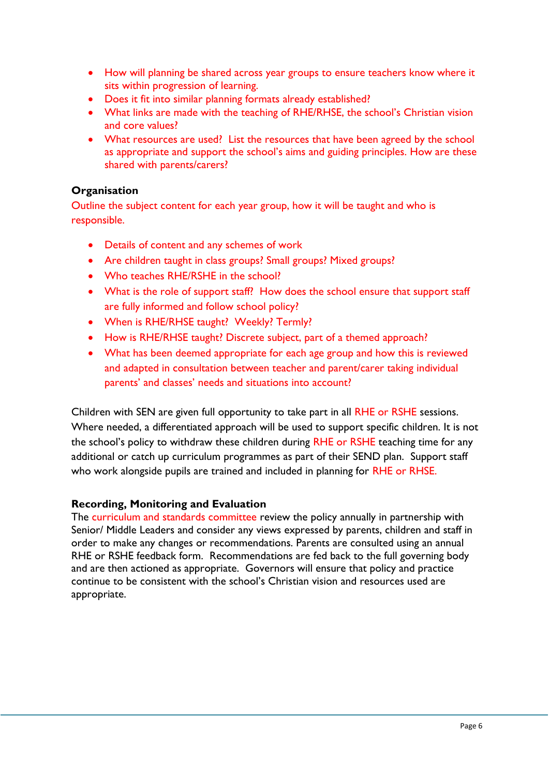- How will planning be shared across year groups to ensure teachers know where it sits within progression of learning.
- Does it fit into similar planning formats already established?
- What links are made with the teaching of RHE/RHSE, the school's Christian vision and core values?
- What resources are used? List the resources that have been agreed by the school as appropriate and support the school's aims and guiding principles. How are these shared with parents/carers?

# **Organisation**

Outline the subject content for each year group, how it will be taught and who is responsible.

- Details of content and any schemes of work
- Are children taught in class groups? Small groups? Mixed groups?
- Who teaches RHE/RSHE in the school?
- What is the role of support staff? How does the school ensure that support staff are fully informed and follow school policy?
- When is RHE/RHSE taught? Weekly? Termly?
- How is RHE/RHSE taught? Discrete subject, part of a themed approach?
- What has been deemed appropriate for each age group and how this is reviewed and adapted in consultation between teacher and parent/carer taking individual parents' and classes' needs and situations into account?

Children with SEN are given full opportunity to take part in all RHE or RSHE sessions. Where needed, a differentiated approach will be used to support specific children. It is not the school's policy to withdraw these children during RHE or RSHE teaching time for any additional or catch up curriculum programmes as part of their SEND plan. Support staff who work alongside pupils are trained and included in planning for RHE or RHSE.

# **Recording, Monitoring and Evaluation**

The curriculum and standards committee review the policy annually in partnership with Senior/ Middle Leaders and consider any views expressed by parents, children and staff in order to make any changes or recommendations. Parents are consulted using an annual RHE or RSHE feedback form. Recommendations are fed back to the full governing body and are then actioned as appropriate. Governors will ensure that policy and practice continue to be consistent with the school's Christian vision and resources used are appropriate.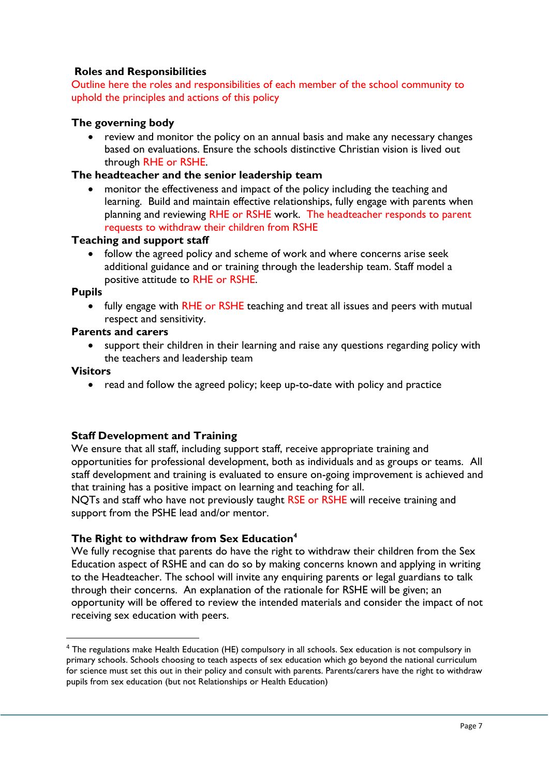# **Roles and Responsibilities**

Outline here the roles and responsibilities of each member of the school community to uphold the principles and actions of this policy

## **The governing body**

 review and monitor the policy on an annual basis and make any necessary changes based on evaluations. Ensure the schools distinctive Christian vision is lived out through RHE or RSHE.

## **The headteacher and the senior leadership team**

 monitor the effectiveness and impact of the policy including the teaching and learning. Build and maintain effective relationships, fully engage with parents when planning and reviewing RHE or RSHE work. The headteacher responds to parent requests to withdraw their children from RSHE

## **Teaching and support staff**

• follow the agreed policy and scheme of work and where concerns arise seek additional guidance and or training through the leadership team. Staff model a positive attitude to RHE or RSHE.

#### **Pupils**

 fully engage with RHE or RSHE teaching and treat all issues and peers with mutual respect and sensitivity.

## **Parents and carers**

• support their children in their learning and raise any questions regarding policy with the teachers and leadership team

#### **Visitors**

**.** 

• read and follow the agreed policy; keep up-to-date with policy and practice

## **Staff Development and Training**

We ensure that all staff, including support staff, receive appropriate training and opportunities for professional development, both as individuals and as groups or teams. All staff development and training is evaluated to ensure on-going improvement is achieved and that training has a positive impact on learning and teaching for all.

NQTs and staff who have not previously taught RSE or RSHE will receive training and support from the PSHE lead and/or mentor.

## **The Right to withdraw from Sex Education<sup>4</sup>**

We fully recognise that parents do have the right to withdraw their children from the Sex Education aspect of RSHE and can do so by making concerns known and applying in writing to the Headteacher. The school will invite any enquiring parents or legal guardians to talk through their concerns. An explanation of the rationale for RSHE will be given; an opportunity will be offered to review the intended materials and consider the impact of not receiving sex education with peers.

<sup>&</sup>lt;sup>4</sup> The regulations make Health Education (HE) compulsory in all schools. Sex education is not compulsory in primary schools. Schools choosing to teach aspects of sex education which go beyond the national curriculum for science must set this out in their policy and consult with parents. Parents/carers have the right to withdraw pupils from sex education (but not Relationships or Health Education)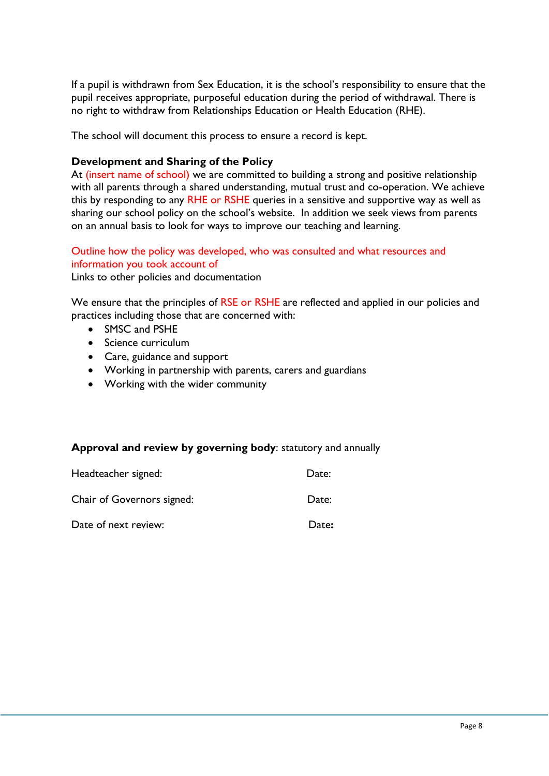If a pupil is withdrawn from Sex Education, it is the school's responsibility to ensure that the pupil receives appropriate, purposeful education during the period of withdrawal. There is no right to withdraw from Relationships Education or Health Education (RHE).

The school will document this process to ensure a record is kept.

## **Development and Sharing of the Policy**

At (insert name of school) we are committed to building a strong and positive relationship with all parents through a shared understanding, mutual trust and co-operation. We achieve this by responding to any RHE or RSHE queries in a sensitive and supportive way as well as sharing our school policy on the school's website. In addition we seek views from parents on an annual basis to look for ways to improve our teaching and learning.

## Outline how the policy was developed, who was consulted and what resources and information you took account of

Links to other policies and documentation

We ensure that the principles of RSE or RSHE are reflected and applied in our policies and practices including those that are concerned with:

- SMSC and PSHE
- Science curriculum
- Care, guidance and support
- Working in partnership with parents, carers and guardians
- Working with the wider community

# **Approval and review by governing body**: statutory and annually

| Headteacher signed:        | Date: |
|----------------------------|-------|
| Chair of Governors signed: | Date: |
| Date of next review:       | Date: |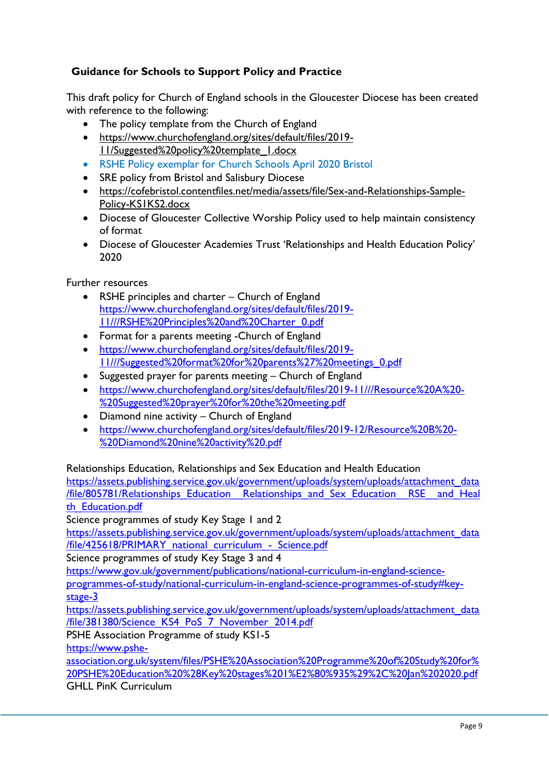# **Guidance for Schools to Support Policy and Practice**

This draft policy for Church of England schools in the Gloucester Diocese has been created with reference to the following:

- The policy template from the Church of England
- [https://www.churchofengland.org/sites/default/files/2019-](https://www.churchofengland.org/sites/default/files/2019-11/Suggested%20policy%20template_1.docx) [11/Suggested%20policy%20template\\_1.docx](https://www.churchofengland.org/sites/default/files/2019-11/Suggested%20policy%20template_1.docx)
- RSHE Policy exemplar for Church Schools April 2020 Bristol
- SRE policy from Bristol and Salisbury Diocese
- [https://cofebristol.contentfiles.net/media/assets/file/Sex-and-Relationships-Sample-](https://cofebristol.contentfiles.net/media/assets/file/Sex-and-Relationships-Sample-Policy-KS1KS2.docx)[Policy-KS1KS2.docx](https://cofebristol.contentfiles.net/media/assets/file/Sex-and-Relationships-Sample-Policy-KS1KS2.docx)
- Diocese of Gloucester Collective Worship Policy used to help maintain consistency of format
- Diocese of Gloucester Academies Trust 'Relationships and Health Education Policy' 2020

Further resources

- RSHE principles and charter Church of England [https://www.churchofengland.org/sites/default/files/2019-](https://www.churchofengland.org/sites/default/files/2019-11/RSHE%20Principles%20and%20Charter_0.pdf) [11///RSHE%20Principles%20and%20Charter\\_0.pdf](https://www.churchofengland.org/sites/default/files/2019-11/RSHE%20Principles%20and%20Charter_0.pdf)
- Format for a parents meeting -Church of England
- [https://www.churchofengland.org/sites/default/files/2019-](https://www.churchofengland.org/sites/default/files/2019-11/Suggested%20format%20for%20parents%27%20meetings_0.pdf) [11///Suggested%20format%20for%20parents%27%20meetings\\_0.pdf](https://www.churchofengland.org/sites/default/files/2019-11/Suggested%20format%20for%20parents%27%20meetings_0.pdf)
- Suggested prayer for parents meeting Church of England
- [https://www.churchofengland.org/sites/default/files/2019-11///Resource%20A%20-](https://www.churchofengland.org/sites/default/files/2019-11/Resource%20A%20-%20Suggested%20prayer%20for%20the%20meeting.pdf) [%20Suggested%20prayer%20for%20the%20meeting.pdf](https://www.churchofengland.org/sites/default/files/2019-11/Resource%20A%20-%20Suggested%20prayer%20for%20the%20meeting.pdf)
- Diamond nine activity Church of England
- [https://www.churchofengland.org/sites/default/files/2019-12/Resource%20B%20-](https://www.churchofengland.org/sites/default/files/2019-12/Resource%20B%20-%20Diamond%20nine%20activity%20.pdf) [%20Diamond%20nine%20activity%20.pdf](https://www.churchofengland.org/sites/default/files/2019-12/Resource%20B%20-%20Diamond%20nine%20activity%20.pdf)

Relationships Education, Relationships and Sex Education and Health Education

[https://assets.publishing.service.gov.uk/government/uploads/system/uploads/attachment\\_data](https://assets.publishing.service.gov.uk/government/uploads/system/uploads/attachment_data/file/805781/Relationships_Education__Relationships_and_Sex_Education__RSE__and_Health_Education.pdf) [/file/805781/Relationships\\_Education\\_\\_Relationships\\_and\\_Sex\\_Education\\_\\_RSE\\_\\_and\\_Heal](https://assets.publishing.service.gov.uk/government/uploads/system/uploads/attachment_data/file/805781/Relationships_Education__Relationships_and_Sex_Education__RSE__and_Health_Education.pdf) th Education.pdf

Science programmes of study Key Stage 1 and 2

[https://assets.publishing.service.gov.uk/government/uploads/system/uploads/attachment\\_data](https://assets.publishing.service.gov.uk/government/uploads/system/uploads/attachment_data/file/425618/PRIMARY_national_curriculum_-_Science.pdf) [/file/425618/PRIMARY\\_national\\_curriculum\\_-\\_Science.pdf](https://assets.publishing.service.gov.uk/government/uploads/system/uploads/attachment_data/file/425618/PRIMARY_national_curriculum_-_Science.pdf)

Science programmes of study Key Stage 3 and 4

[https://www.gov.uk/government/publications/national-curriculum-in-england-science-](https://www.gov.uk/government/publications/national-curriculum-in-england-science-programmes-of-study/national-curriculum-in-england-science-programmes-of-study#key-stage-3)

[programmes-of-study/national-curriculum-in-england-science-programmes-of-study#key](https://www.gov.uk/government/publications/national-curriculum-in-england-science-programmes-of-study/national-curriculum-in-england-science-programmes-of-study#key-stage-3)[stage-3](https://www.gov.uk/government/publications/national-curriculum-in-england-science-programmes-of-study/national-curriculum-in-england-science-programmes-of-study#key-stage-3)

[https://assets.publishing.service.gov.uk/government/uploads/system/uploads/attachment\\_data](https://assets.publishing.service.gov.uk/government/uploads/system/uploads/attachment_data/file/381380/Science_KS4_PoS_7_November_2014.pdf) [/file/381380/Science\\_KS4\\_PoS\\_7\\_November\\_2014.pdf](https://assets.publishing.service.gov.uk/government/uploads/system/uploads/attachment_data/file/381380/Science_KS4_PoS_7_November_2014.pdf)

PSHE Association Programme of study KS1-5

[https://www.pshe-](https://www.pshe-association.org.uk/system/files/PSHE%20Association%20Programme%20of%20Study%20for%20PSHE%20Education%20%28Key%20stages%201%E2%80%935%29%2C%20Jan%202020.pdf)

[association.org.uk/system/files/PSHE%20Association%20Programme%20of%20Study%20for%](https://www.pshe-association.org.uk/system/files/PSHE%20Association%20Programme%20of%20Study%20for%20PSHE%20Education%20%28Key%20stages%201%E2%80%935%29%2C%20Jan%202020.pdf) [20PSHE%20Education%20%28Key%20stages%201%E2%80%935%29%2C%20Jan%202020.pdf](https://www.pshe-association.org.uk/system/files/PSHE%20Association%20Programme%20of%20Study%20for%20PSHE%20Education%20%28Key%20stages%201%E2%80%935%29%2C%20Jan%202020.pdf) GHLL PinK Curriculum